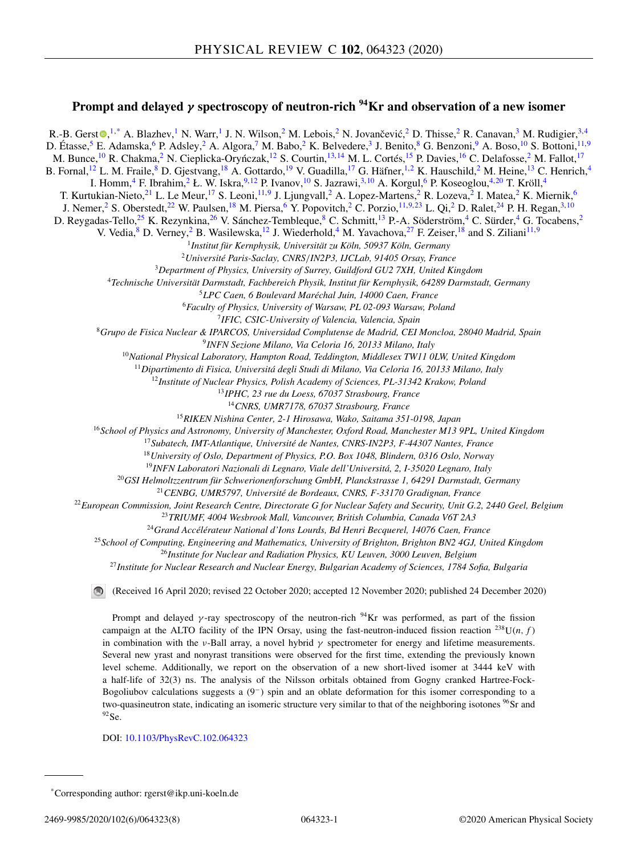# **Prompt and delayed** *γ* **spectroscopy of neutron-rich 94Kr and observation of a new isomer**

R.-B. Gers[t](https://orcid.org/0000-0002-9716-8752) $\bigcirc^{1,*}$  A. Blazhev,<sup>1</sup> N. Warr,<sup>1</sup> J. N. Wilson,<sup>2</sup> M. Lebois,<sup>2</sup> N. Jovančević,<sup>2</sup> D. Thisse,<sup>2</sup> R. Canavan,<sup>3</sup> M. Rudigier,<sup>3,4</sup> D. Étasse,<sup>5</sup> E. Adamska,<sup>6</sup> P. Adsley,<sup>2</sup> A. Algora,<sup>7</sup> M. Babo,<sup>2</sup> K. Belvedere,<sup>3</sup> J. Benito,<sup>8</sup> G. Benzoni,<sup>9</sup> A. Boso,<sup>10</sup> S. Bottoni,<sup>11,9</sup> M. Bunce,<sup>10</sup> R. Chakma,<sup>2</sup> N. Cieplicka-Oryńczak,<sup>12</sup> S. Courtin,<sup>13,14</sup> M. L. Cortés,<sup>15</sup> P. Davies,<sup>16</sup> C. Delafosse,<sup>2</sup> M. Fallot,<sup>17</sup> B. Fornal,<sup>12</sup> L. M. Fraile,<sup>8</sup> D. Gjestvang,<sup>18</sup> A. Gottardo,<sup>19</sup> V. Guadilla,<sup>17</sup> G. Häfner,<sup>1,2</sup> K. Hauschild,<sup>2</sup> M. Heine,<sup>13</sup> C. Henrich,<sup>4</sup> I. Homm,<sup>4</sup> F. Ibrahim,<sup>2</sup> Ł. W. Iskra,<sup>9,12</sup> P. Ivanov,<sup>10</sup> S. Jazrawi,<sup>3,10</sup> A. Korgul,<sup>6</sup> P. Koseoglou,<sup>4,20</sup> T. Kröll,<sup>4</sup> T. Kurtukian-Nieto,<sup>21</sup> L. Le Meur,<sup>17</sup> S. Leoni,<sup>11,9</sup> J. Ljungvall,<sup>2</sup> A. Lopez-Martens,<sup>2</sup> R. Lozeva,<sup>2</sup> I. Matea,<sup>2</sup> K. Miernik,<sup>6</sup> J. Nemer,<sup>2</sup> S. Oberstedt,<sup>22</sup> W. Paulsen,<sup>18</sup> M. Piersa,<sup>6</sup> Y. Popovitch,<sup>2</sup> C. Porzio,<sup>11,9,23</sup> L. Qi,<sup>2</sup> D. Ralet,<sup>24</sup> P. H. Regan,<sup>3,10</sup> D. Reygadas-Tello,<sup>25</sup> K. Rezynkina,<sup>26</sup> V. Sánchez-Tembleque,<sup>8</sup> C. Schmitt,<sup>13</sup> P.-A. Söderström,<sup>4</sup> C. Sürder,<sup>4</sup> G. Tocabens,<sup>2</sup> V. Vedia,  $8$  D. Verney,  $2$  B. Wasilewska,  $12$  J. Wiederhold,  $4$  M. Yavachova,  $27$  F. Zeiser,  $18$  and S. Ziliani $11,9$ <sup>1</sup>*Institut für Kernphysik, Universität zu Köln, 50937 Köln, Germany* <sup>2</sup>*Université Paris-Saclay, CNRS*/*IN2P3, IJCLab, 91405 Orsay, France* <sup>3</sup>*Department of Physics, University of Surrey, Guildford GU2 7XH, United Kingdom* <sup>4</sup>*Technische Universität Darmstadt, Fachbereich Physik, Institut für Kernphysik, 64289 Darmstadt, Germany* <sup>5</sup>*LPC Caen, 6 Boulevard Maréchal Juin, 14000 Caen, France* <sup>6</sup>*Faculty of Physics, University of Warsaw, PL 02-093 Warsaw, Poland* <sup>7</sup>*IFIC, CSIC-University of Valencia, Valencia, Spain* <sup>8</sup>*Grupo de Fisica Nuclear & IPARCOS, Universidad Complutense de Madrid, CEI Moncloa, 28040 Madrid, Spain* <sup>9</sup>*INFN Sezione Milano, Via Celoria 16, 20133 Milano, Italy* <sup>10</sup>*National Physical Laboratory, Hampton Road, Teddington, Middlesex TW11 0LW, United Kingdom* <sup>11</sup>*Dipartimento di Fisica, Universitá degli Studi di Milano, Via Celoria 16, 20133 Milano, Italy* <sup>12</sup>*Institute of Nuclear Physics, Polish Academy of Sciences, PL-31342 Krakow, Poland* <sup>13</sup>*IPHC, 23 rue du Loess, 67037 Strasbourg, France* <sup>14</sup>*CNRS, UMR7178, 67037 Strasbourg, France* <sup>15</sup>*RIKEN Nishina Center, 2-1 Hirosawa, Wako, Saitama 351-0198, Japan* <sup>16</sup>*School of Physics and Astronomy, University of Manchester, Oxford Road, Manchester M13 9PL, United Kingdom* <sup>17</sup>*Subatech, IMT-Atlantique, Université de Nantes, CNRS-IN2P3, F-44307 Nantes, France* <sup>18</sup>*University of Oslo, Department of Physics, P.O. Box 1048, Blindern, 0316 Oslo, Norway* <sup>19</sup>*INFN Laboratori Nazionali di Legnaro, Viale dell'Universitá, 2, I-35020 Legnaro, Italy* <sup>20</sup>*GSI Helmoltzzentrum für Schwerionenforschung GmbH, Planckstrasse 1, 64291 Darmstadt, Germany* <sup>21</sup>*CENBG, UMR5797, Université de Bordeaux, CNRS, F-33170 Gradignan, France* <sup>22</sup>*European Commission, Joint Research Centre, Directorate G for Nuclear Safety and Security, Unit G.2, 2440 Geel, Belgium* <sup>23</sup>*TRIUMF, 4004 Wesbrook Mall, Vancouver, British Columbia, Canada V6T 2A3* <sup>24</sup>*Grand Accélérateur National d'Ions Lourds, Bd Henri Becquerel, 14076 Caen, France* <sup>25</sup>*School of Computing, Engineering and Mathematics, University of Brighton, Brighton BN2 4GJ, United Kingdom* <sup>26</sup>*Institute for Nuclear and Radiation Physics, KU Leuven, 3000 Leuven, Belgium* <sup>27</sup>*Institute for Nuclear Research and Nuclear Energy, Bulgarian Academy of Sciences, 1784 Sofia, Bulgaria* (Received 16 April 2020; revised 22 October 2020; accepted 12 November 2020; published 24 December 2020) Prompt and delayed  $\gamma$ -ray spectroscopy of the neutron-rich <sup>94</sup>Kr was performed, as part of the fission campaign at the ALTO facility of the IPN Orsay, using the fast-neutron-induced fission reaction  $^{238}U(n, f)$ in combination with the *ν*-Ball array, a novel hybrid  $\gamma$  spectrometer for energy and lifetime measurements. Several new yrast and nonyrast transitions were observed for the first time, extending the previously known level scheme. Additionally, we report on the observation of a new short-lived isomer at 3444 keV with a half-life of 32(3) ns. The analysis of the Nilsson orbitals obtained from Gogny cranked Hartree-Fock-Bogoliubov calculations suggests a (9−) spin and an oblate deformation for this isomer corresponding to a two-quasineutron state, indicating an isomeric structure very similar to that of the neighboring isotones <sup>96</sup>Sr and  $^{92}$ Se.

DOI: [10.1103/PhysRevC.102.064323](https://doi.org/10.1103/PhysRevC.102.064323)

<sup>\*</sup>Corresponding author: rgerst@ikp.uni-koeln.de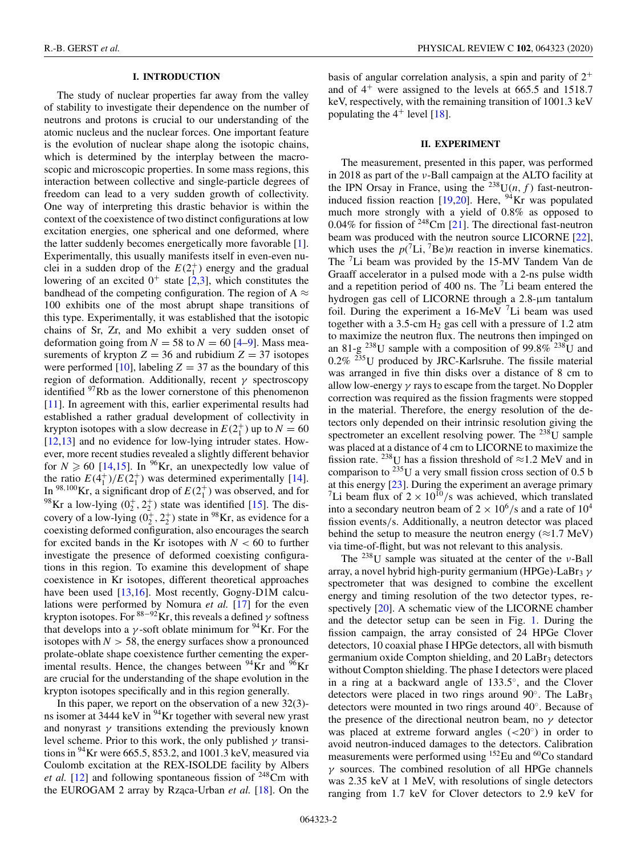### **I. INTRODUCTION**

The study of nuclear properties far away from the valley of stability to investigate their dependence on the number of neutrons and protons is crucial to our understanding of the atomic nucleus and the nuclear forces. One important feature is the evolution of nuclear shape along the isotopic chains, which is determined by the interplay between the macroscopic and microscopic properties. In some mass regions, this interaction between collective and single-particle degrees of freedom can lead to a very sudden growth of collectivity. One way of interpreting this drastic behavior is within the context of the coexistence of two distinct configurations at low excitation energies, one spherical and one deformed, where the latter suddenly becomes energetically more favorable [\[1\]](#page-6-0). Experimentally, this usually manifests itself in even-even nuclei in a sudden drop of the  $E(2<sub>1</sub><sup>+</sup>)$  energy and the gradual lowering of an excited  $0^+$  state [\[2,3\]](#page-6-0), which constitutes the bandhead of the competing configuration. The region of A  $\approx$ 100 exhibits one of the most abrupt shape transitions of this type. Experimentally, it was established that the isotopic chains of Sr, Zr, and Mo exhibit a very sudden onset of deformation going from  $N = 58$  to  $N = 60$  [\[4–9\]](#page-6-0). Mass measurements of krypton  $Z = 36$  and rubidium  $Z = 37$  isotopes were performed [\[10\]](#page-6-0), labeling  $Z = 37$  as the boundary of this region of deformation. Additionally, recent  $\gamma$  spectroscopy identified <sup>97</sup>Rb as the lower cornerstone of this phenomenon [\[11\]](#page-6-0). In agreement with this, earlier experimental results had established a rather gradual development of collectivity in krypton isotopes with a slow decrease in  $E(2_1^+)$  up to  $N = 60$ [\[12,13\]](#page-6-0) and no evidence for low-lying intruder states. However, more recent studies revealed a slightly different behavior for  $N \ge 60$  [\[14,15\]](#page-6-0). In <sup>96</sup>Kr, an unexpectedly low value of the ratio  $E(4_1^+)/E(2_1^+)$  was determined experimentally [\[14\]](#page-6-0). In <sup>98,100</sup>Kr, a significant drop of  $E(2<sup>+</sup>)$  was observed, and for <sup>98</sup>Kr a low-lying  $(0_2^+, 2_2^+)$  state was identified [\[15\]](#page-6-0). The discovery of a low-lying  $(0_2^+, 2_2^+)$  state in <sup>98</sup>Kr, as evidence for a coexisting deformed configuration, also encourages the search for excited bands in the Kr isotopes with  $N < 60$  to further investigate the presence of deformed coexisting configurations in this region. To examine this development of shape coexistence in Kr isotopes, different theoretical approaches have been used [\[13,16\]](#page-6-0). Most recently, Gogny-D1M calculations were performed by Nomura *et al.* [\[17\]](#page-6-0) for the even krypton isotopes. For  $88-92$ Kr, this reveals a defined  $\gamma$  softness that develops into a  $\gamma$ -soft oblate minimum for <sup>94</sup>Kr. For the isotopes with  $N > 58$ , the energy surfaces show a pronounced prolate-oblate shape coexistence further cementing the experimental results. Hence, the changes between  $94$ Kr and  $96$ Kr are crucial for the understanding of the shape evolution in the krypton isotopes specifically and in this region generally.

In this paper, we report on the observation of a new 32(3) ns isomer at 3444 keV in <sup>94</sup>Kr together with several new yrast and nonyrast  $\gamma$  transitions extending the previously known level scheme. Prior to this work, the only published  $\gamma$  transitions in  $^{94}$ Kr were 665.5, 853.2, and 1001.3 keV, measured via Coulomb excitation at the REX-ISOLDE facility by Albers *et al.* [\[12\]](#page-6-0) and following spontaneous fission of  $^{248}$ Cm with the EUROGAM 2 array by Rząca-Urban et al. [\[18\]](#page-6-0). On the basis of angular correlation analysis, a spin and parity of  $2^+$ and of  $4^+$  were assigned to the levels at 665.5 and 1518.7 keV, respectively, with the remaining transition of 1001.3 keV populating the  $4^+$  level [\[18\]](#page-6-0).

#### **II. EXPERIMENT**

The measurement, presented in this paper, was performed in 2018 as part of the ν-Ball campaign at the ALTO facility at the IPN Orsay in France, using the <sup>238</sup>U(*n*, *f*) fast-neutron-induced fission reaction [\[19](#page-6-0)[,20\]](#page-7-0). Here,  $^{94}$ Kr was populated much more strongly with a yield of 0.8% as opposed to 0.04% for fission of 248Cm [\[21\]](#page-7-0). The directional fast-neutron beam was produced with the neutron source LICORNE [\[22\]](#page-7-0), which uses the  $p(^{7}$ Li, <sup>7</sup>Be)*n* reaction in inverse kinematics. The 7Li beam was provided by the 15-MV Tandem Van de Graaff accelerator in a pulsed mode with a 2-ns pulse width and a repetition period of 400 ns. The  ${}^{7}$ Li beam entered the hydrogen gas cell of LICORNE through a 2.8-µm tantalum foil. During the experiment a  $16$ -MeV  $7$ Li beam was used together with a  $3.5$ -cm  $H_2$  gas cell with a pressure of 1.2 atm to maximize the neutron flux. The neutrons then impinged on an 81-g <sup>238</sup>U sample with a composition of 99.8% <sup>238</sup>U and  $0.2\%$  <sup>235</sup>U produced by JRC-Karlsruhe. The fissile material was arranged in five thin disks over a distance of 8 cm to allow low-energy  $\gamma$  rays to escape from the target. No Doppler correction was required as the fission fragments were stopped in the material. Therefore, the energy resolution of the detectors only depended on their intrinsic resolution giving the spectrometer an excellent resolving power. The  $^{238}$ U sample was placed at a distance of 4 cm to LICORNE to maximize the fission rate. <sup>238</sup>U has a fission threshold of  $\approx$  1.2 MeV and in comparison to  $^{235}$ U a very small fission cross section of 0.5 b at this energy [\[23\]](#page-7-0). During the experiment an average primary <sup>7</sup>Li beam flux of  $2 \times 10^{10}$ /s was achieved, which translated into a secondary neutron beam of  $2 \times 10^6$ /s and a rate of  $10^4$ fission events/s. Additionally, a neutron detector was placed behind the setup to measure the neutron energy  $(\approx 1.7 \text{ MeV})$ via time-of-flight, but was not relevant to this analysis.

The  $^{238}$ U sample was situated at the center of the *ν*-Ball array, a novel hybrid high-purity germanium (HPGe)-LaBr<sub>3</sub>  $\gamma$ spectrometer that was designed to combine the excellent energy and timing resolution of the two detector types, re-spectively [\[20\]](#page-7-0). A schematic view of the LICORNE chamber and the detector setup can be seen in Fig. [1.](#page-2-0) During the fission campaign, the array consisted of 24 HPGe Clover detectors, 10 coaxial phase I HPGe detectors, all with bismuth germanium oxide Compton shielding, and 20 LaBr<sub>3</sub> detectors without Compton shielding. The phase I detectors were placed in a ring at a backward angle of 133.5◦, and the Clover detectors were placed in two rings around  $90^\circ$ . The LaBr<sub>3</sub> detectors were mounted in two rings around 40◦. Because of the presence of the directional neutron beam, no  $\gamma$  detector was placed at extreme forward angles  $\left( \langle 20^\circ \rangle \right)$  in order to avoid neutron-induced damages to the detectors. Calibration measurements were performed using <sup>152</sup>Eu and <sup>60</sup>Co standard  $\gamma$  sources. The combined resolution of all HPGe channels was 2.35 keV at 1 MeV, with resolutions of single detectors ranging from 1.7 keV for Clover detectors to 2.9 keV for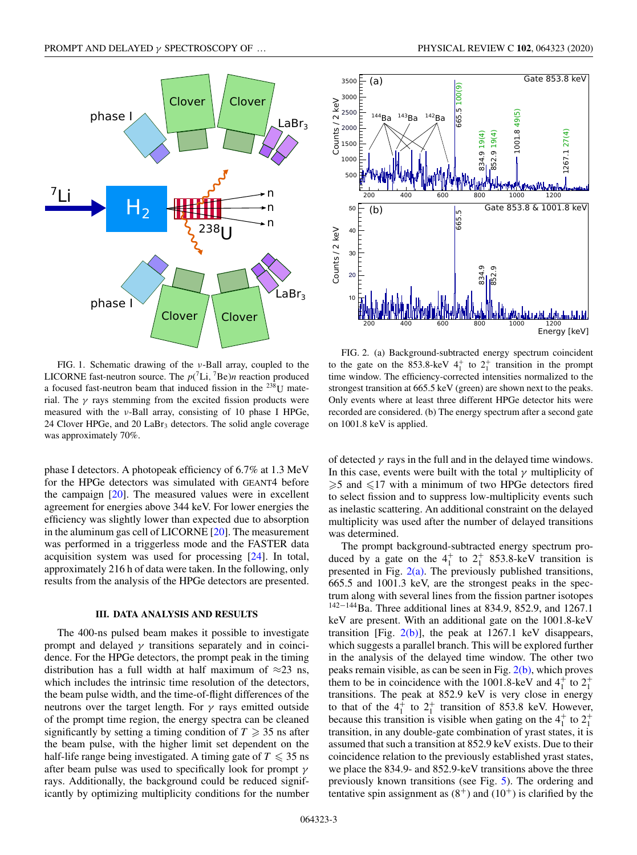<span id="page-2-0"></span>

FIG. 1. Schematic drawing of the ν-Ball array, coupled to the LICORNE fast-neutron source. The  $p(^{7}$ Li,  $^{7}$ Be)*n* reaction produced a focused fast-neutron beam that induced fission in the 238U material. The  $\gamma$  rays stemming from the excited fission products were measured with the ν-Ball array, consisting of 10 phase I HPGe, 24 Clover HPGe, and 20  $LaBr<sub>3</sub>$  detectors. The solid angle coverage was approximately 70%.

phase I detectors. A photopeak efficiency of 6.7% at 1.3 MeV for the HPGe detectors was simulated with GEANT4 before the campaign [\[20\]](#page-7-0). The measured values were in excellent agreement for energies above 344 keV. For lower energies the efficiency was slightly lower than expected due to absorption in the aluminum gas cell of LICORNE [\[20\]](#page-7-0). The measurement was performed in a triggerless mode and the FASTER data acquisition system was used for processing [\[24\]](#page-7-0). In total, approximately 216 h of data were taken. In the following, only results from the analysis of the HPGe detectors are presented.

#### **III. DATA ANALYSIS AND RESULTS**

The 400-ns pulsed beam makes it possible to investigate prompt and delayed  $\gamma$  transitions separately and in coincidence. For the HPGe detectors, the prompt peak in the timing distribution has a full width at half maximum of  $\approx$ 23 ns, which includes the intrinsic time resolution of the detectors, the beam pulse width, and the time-of-flight differences of the neutrons over the target length. For  $\gamma$  rays emitted outside of the prompt time region, the energy spectra can be cleaned significantly by setting a timing condition of  $T \geq 35$  ns after the beam pulse, with the higher limit set dependent on the half-life range being investigated. A timing gate of  $T \leq 35$  ns after beam pulse was used to specifically look for prompt  $\gamma$ rays. Additionally, the background could be reduced significantly by optimizing multiplicity conditions for the number



FIG. 2. (a) Background-subtracted energy spectrum coincident to the gate on the 853.8-keV  $4^+_1$  to  $2^+_1$  transition in the prompt time window. The efficiency-corrected intensities normalized to the strongest transition at 665.5 keV (green) are shown next to the peaks. Only events where at least three different HPGe detector hits were recorded are considered. (b) The energy spectrum after a second gate on 1001.8 keV is applied.

of detected  $\gamma$  rays in the full and in the delayed time windows. In this case, events were built with the total  $\gamma$  multiplicity of  $\geq 5$  and  $\leq 17$  with a minimum of two HPGe detectors fired to select fission and to suppress low-multiplicity events such as inelastic scattering. An additional constraint on the delayed multiplicity was used after the number of delayed transitions was determined.

The prompt background-subtracted energy spectrum produced by a gate on the  $4^{\dagger}_{1}$  to  $2^{\dagger}_{1}$  853.8-keV transition is presented in Fig.  $2(a)$ . The previously published transitions, 665.5 and 1001.3 keV, are the strongest peaks in the spectrum along with several lines from the fission partner isotopes  $142-144$ Ba. Three additional lines at 834.9, 852.9, and 1267.1 keV are present. With an additional gate on the 1001.8-keV transition [Fig.  $2(b)$ ], the peak at 1267.1 keV disappears, which suggests a parallel branch. This will be explored further in the analysis of the delayed time window. The other two peaks remain visible, as can be seen in Fig. 2(b), which proves them to be in coincidence with the 1001.8-keV and  $4<sup>+</sup><sub>1</sub>$  to  $2<sup>+</sup><sub>1</sub>$ transitions. The peak at 852.9 keV is very close in energy to that of the  $4^+_1$  to  $2^+_1$  transition of 853.8 keV. However, because this transition is visible when gating on the  $4<sup>+</sup><sub>1</sub>$  to  $2<sup>+</sup><sub>1</sub>$ transition, in any double-gate combination of yrast states, it is assumed that such a transition at 852.9 keV exists. Due to their coincidence relation to the previously established yrast states, we place the 834.9- and 852.9-keV transitions above the three previously known transitions (see Fig. [5\)](#page-3-0). The ordering and tentative spin assignment as  $(8^+)$  and  $(10^+)$  is clarified by the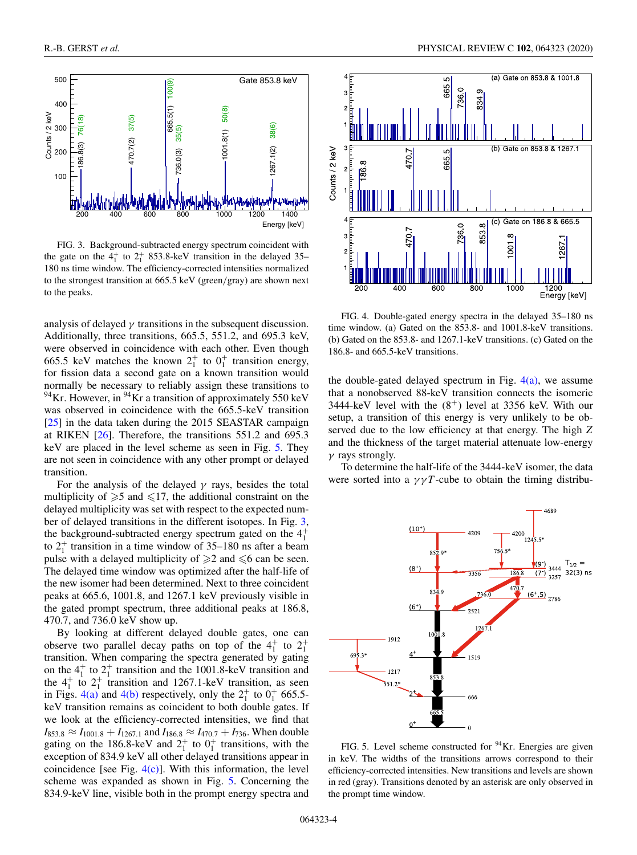<span id="page-3-0"></span>

FIG. 3. Background-subtracted energy spectrum coincident with the gate on the  $4^+_1$  to  $2^+_1$  853.8-keV transition in the delayed 35– 180 ns time window. The efficiency-corrected intensities normalized to the strongest transition at 665.5 keV (green/gray) are shown next to the peaks.

analysis of delayed  $\gamma$  transitions in the subsequent discussion. Additionally, three transitions, 665.5, 551.2, and 695.3 keV, were observed in coincidence with each other. Even though 665.5 keV matches the known  $2^+_1$  to  $0^+_1$  transition energy, for fission data a second gate on a known transition would normally be necessary to reliably assign these transitions to  $^{94}$ Kr. However, in  $^{94}$ Kr a transition of approximately 550 keV was observed in coincidence with the 665.5-keV transition [\[25\]](#page-7-0) in the data taken during the 2015 SEASTAR campaign at RIKEN [\[26\]](#page-7-0). Therefore, the transitions 551.2 and 695.3 keV are placed in the level scheme as seen in Fig. 5. They are not seen in coincidence with any other prompt or delayed transition.

For the analysis of the delayed  $\gamma$  rays, besides the total multiplicity of  $\ge 5$  and  $\le 17$ , the additional constraint on the delayed multiplicity was set with respect to the expected number of delayed transitions in the different isotopes. In Fig. 3, the background-subtracted energy spectrum gated on the  $4<sup>+</sup><sub>1</sub>$ to  $2_1^+$  transition in a time window of 35–180 ns after a beam pulse with a delayed multiplicity of  $\geq 2$  and  $\leq 6$  can be seen. The delayed time window was optimized after the half-life of the new isomer had been determined. Next to three coincident peaks at 665.6, 1001.8, and 1267.1 keV previously visible in the gated prompt spectrum, three additional peaks at 186.8, 470.7, and 736.0 keV show up.

By looking at different delayed double gates, one can observe two parallel decay paths on top of the  $4^+_1$  to  $2^+_1$ transition. When comparing the spectra generated by gating on the  $4<sup>+</sup><sub>1</sub>$  to  $2<sup>+</sup><sub>1</sub>$  transition and the 1001.8-keV transition and the  $4^+_1$  to  $2^+_1$  transition and 1267.1-keV transition, as seen in Figs. 4(a) and 4(b) respectively, only the  $2^+_1$  to  $0^+_1$  665.5keV transition remains as coincident to both double gates. If we look at the efficiency-corrected intensities, we find that  $I_{853.8} \approx I_{1001.8} + I_{1267.1}$  and  $I_{186.8} \approx I_{470.7} + I_{736}$ . When double gating on the 186.8-keV and  $2^+_1$  to  $0^+_1$  transitions, with the exception of 834.9 keV all other delayed transitions appear in coincidence [see Fig.  $4(c)$ ]. With this information, the level scheme was expanded as shown in Fig. 5. Concerning the 834.9-keV line, visible both in the prompt energy spectra and



FIG. 4. Double-gated energy spectra in the delayed 35–180 ns time window. (a) Gated on the 853.8- and 1001.8-keV transitions. (b) Gated on the 853.8- and 1267.1-keV transitions. (c) Gated on the 186.8- and 665.5-keV transitions.

the double-gated delayed spectrum in Fig.  $4(a)$ , we assume that a nonobserved 88-keV transition connects the isomeric 3444-keV level with the  $(8^+)$  level at 3356 keV. With our setup, a transition of this energy is very unlikely to be observed due to the low efficiency at that energy. The high *Z* and the thickness of the target material attenuate low-energy  $\gamma$  rays strongly.

To determine the half-life of the 3444-keV isomer, the data were sorted into a  $\gamma \gamma T$ -cube to obtain the timing distribu-



FIG. 5. Level scheme constructed for  $94$ Kr. Energies are given in keV. The widths of the transitions arrows correspond to their efficiency-corrected intensities. New transitions and levels are shown in red (gray). Transitions denoted by an asterisk are only observed in the prompt time window.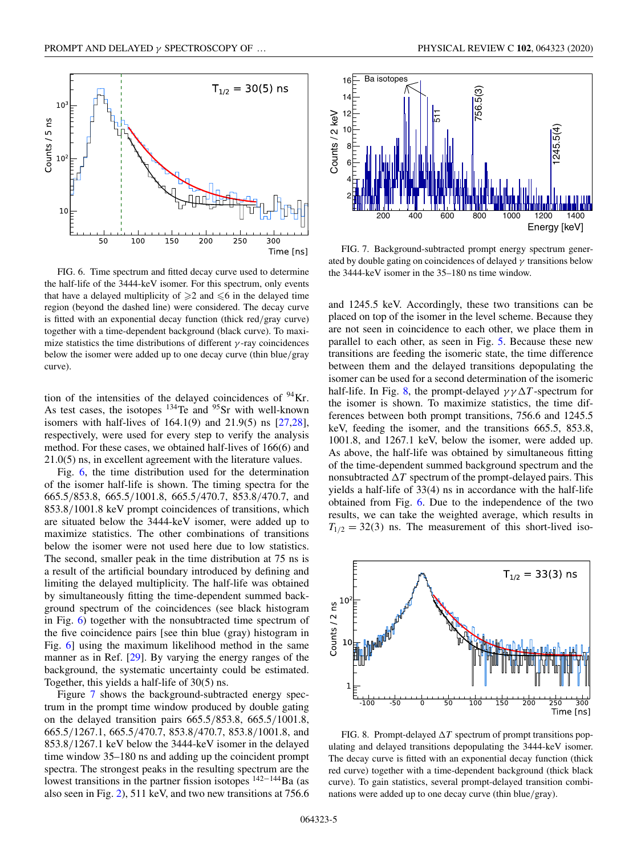

FIG. 6. Time spectrum and fitted decay curve used to determine the half-life of the 3444-keV isomer. For this spectrum, only events that have a delayed multiplicity of  $\geq 2$  and  $\leq 6$  in the delayed time region (beyond the dashed line) were considered. The decay curve is fitted with an exponential decay function (thick red/gray curve) together with a time-dependent background (black curve). To maximize statistics the time distributions of different  $\gamma$ -ray coincidences below the isomer were added up to one decay curve (thin blue/gray curve).

tion of the intensities of the delayed coincidences of  $94$ Kr. As test cases, the isotopes <sup>134</sup>Te and <sup>95</sup>Sr with well-known isomers with half-lives of 164.1(9) and 21.9(5) ns [\[27,28\]](#page-7-0), respectively, were used for every step to verify the analysis method. For these cases, we obtained half-lives of 166(6) and 21.0(5) ns, in excellent agreement with the literature values.

Fig. 6, the time distribution used for the determination of the isomer half-life is shown. The timing spectra for the 665.5/853.8, 665.5/1001.8, 665.5/470.7, 853.8/470.7, and 853.8/1001.8 keV prompt coincidences of transitions, which are situated below the 3444-keV isomer, were added up to maximize statistics. The other combinations of transitions below the isomer were not used here due to low statistics. The second, smaller peak in the time distribution at 75 ns is a result of the artificial boundary introduced by defining and limiting the delayed multiplicity. The half-life was obtained by simultaneously fitting the time-dependent summed background spectrum of the coincidences (see black histogram in Fig. 6) together with the nonsubtracted time spectrum of the five coincidence pairs [see thin blue (gray) histogram in Fig. 6] using the maximum likelihood method in the same manner as in Ref. [\[29\]](#page-7-0). By varying the energy ranges of the background, the systematic uncertainty could be estimated. Together, this yields a half-life of 30(5) ns.

Figure 7 shows the background-subtracted energy spectrum in the prompt time window produced by double gating on the delayed transition pairs 665.5/853.8, 665.5/1001.8, 665.5/1267.1, 665.5/470.7, 853.8/470.7, 853.8/1001.8, and 853.8/1267.1 keV below the 3444-keV isomer in the delayed time window 35–180 ns and adding up the coincident prompt spectra. The strongest peaks in the resulting spectrum are the lowest transitions in the partner fission isotopes  $142-144$ Ba (as also seen in Fig. [2\)](#page-2-0), 511 keV, and two new transitions at 756.6



FIG. 7. Background-subtracted prompt energy spectrum generated by double gating on coincidences of delayed  $\gamma$  transitions below the 3444-keV isomer in the 35–180 ns time window.

and 1245.5 keV. Accordingly, these two transitions can be placed on top of the isomer in the level scheme. Because they are not seen in coincidence to each other, we place them in parallel to each other, as seen in Fig. [5.](#page-3-0) Because these new transitions are feeding the isomeric state, the time difference between them and the delayed transitions depopulating the isomer can be used for a second determination of the isomeric half-life. In Fig. 8, the prompt-delayed  $\gamma \gamma \Delta T$ -spectrum for the isomer is shown. To maximize statistics, the time differences between both prompt transitions, 756.6 and 1245.5 keV, feeding the isomer, and the transitions 665.5, 853.8, 1001.8, and 1267.1 keV, below the isomer, were added up. As above, the half-life was obtained by simultaneous fitting of the time-dependent summed background spectrum and the nonsubtracted  $\Delta T$  spectrum of the prompt-delayed pairs. This yields a half-life of 33(4) ns in accordance with the half-life obtained from Fig. 6. Due to the independence of the two results, we can take the weighted average, which results in  $T_{1/2} = 32(3)$  ns. The measurement of this short-lived iso-



FIG. 8. Prompt-delayed  $\Delta T$  spectrum of prompt transitions populating and delayed transitions depopulating the 3444-keV isomer. The decay curve is fitted with an exponential decay function (thick red curve) together with a time-dependent background (thick black curve). To gain statistics, several prompt-delayed transition combinations were added up to one decay curve (thin blue/gray).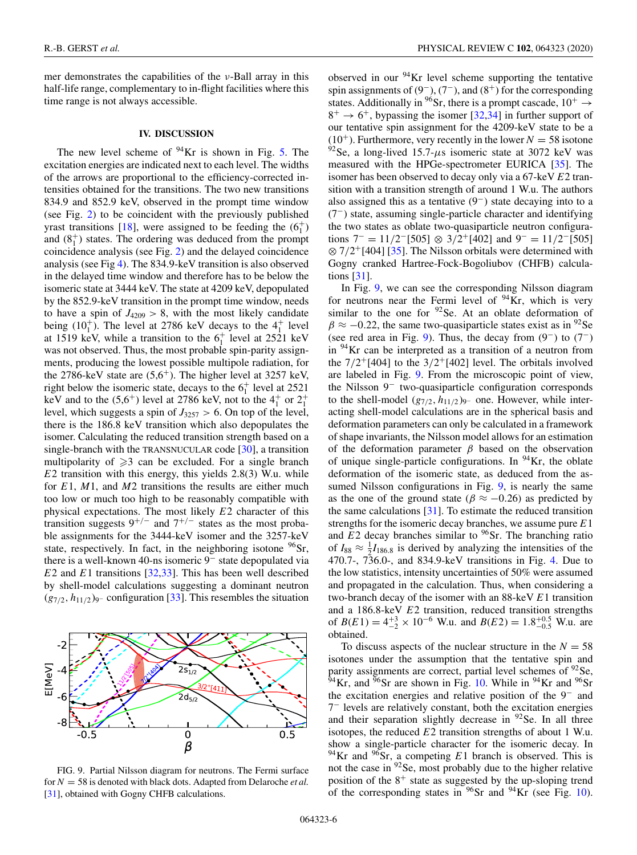mer demonstrates the capabilities of the  $\nu$ -Ball array in this half-life range, complementary to in-flight facilities where this time range is not always accessible.

#### **IV. DISCUSSION**

The new level scheme of  $94$ Kr is shown in Fig. [5.](#page-3-0) The excitation energies are indicated next to each level. The widths of the arrows are proportional to the efficiency-corrected intensities obtained for the transitions. The two new transitions 834.9 and 852.9 keV, observed in the prompt time window (see Fig. [2\)](#page-2-0) to be coincident with the previously published yrast transitions [\[18\]](#page-6-0), were assigned to be feeding the  $(6<sub>1</sub><sup>+</sup>)$ and  $(8<sub>1</sub><sup>+</sup>)$  states. The ordering was deduced from the prompt coincidence analysis (see Fig. [2\)](#page-2-0) and the delayed coincidence analysis (see Fig [4\)](#page-3-0). The 834.9-keV transition is also observed in the delayed time window and therefore has to be below the isomeric state at 3444 keV. The state at 4209 keV, depopulated by the 852.9-keV transition in the prompt time window, needs to have a spin of  $J_{4209} > 8$ , with the most likely candidate being  $(10_1^+)$ . The level at 2786 keV decays to the  $4_1^+$  level at 1519 keV, while a transition to the  $6<sub>1</sub><sup>+</sup>$  level at 2521 keV was not observed. Thus, the most probable spin-parity assignments, producing the lowest possible multipole radiation, for the 2786-keV state are  $(5.6^+)$ . The higher level at 3257 keV, right below the isomeric state, decays to the  $6<sub>1</sub><sup>+</sup>$  level at 2521 keV and to the  $(5.6^+)$  level at 2786 keV, not to the  $4^+_1$  or  $2^+_1$ level, which suggests a spin of  $J_{3257} > 6$ . On top of the level, there is the 186.8 keV transition which also depopulates the isomer. Calculating the reduced transition strength based on a single-branch with the TRANSNUCULAR code [\[30\]](#page-7-0), a transition multipolarity of  $\geqslant$  3 can be excluded. For a single branch *E*2 transition with this energy, this yields 2.8(3) W.u. while for *E*1, *M*1, and *M*2 transitions the results are either much too low or much too high to be reasonably compatible with physical expectations. The most likely *E*2 character of this transition suggests  $9^{+/}$  and  $7^{+/}$  states as the most probable assignments for the 3444-keV isomer and the 3257-keV state, respectively. In fact, in the neighboring isotone  $^{96}Sr$ , there is a well-known 40-ns isomeric 9<sup>−</sup> state depopulated via *E*2 and *E*1 transitions [\[32,33\]](#page-7-0). This has been well described by shell-model calculations suggesting a dominant neutron (*g*<sup>7</sup>/<sup>2</sup>, *h*<sup>11</sup>/<sup>2</sup> )9<sup>−</sup> configuration [\[33\]](#page-7-0). This resembles the situation

## E[MeV]  $2s_{1/2}$  $2d_{5/2}$ ۰ -8  $0.5$ -0.5 0 β

FIG. 9. Partial Nilsson diagram for neutrons. The Fermi surface for *N* = 58 is denoted with black dots. Adapted from Delaroche *et al.* [\[31\]](#page-7-0), obtained with Gogny CHFB calculations.

observed in our  $94$ Kr level scheme supporting the tentative spin assignments of  $(9^-)$ ,  $(7^-)$ , and  $(8^+)$  for the corresponding states. Additionally in <sup>96</sup>Sr, there is a prompt cascade,  $10^+$   $\rightarrow$  $8^+ \rightarrow 6^+$ , bypassing the isomer [\[32,34\]](#page-7-0) in further support of our tentative spin assignment for the 4209-keV state to be a  $(10^+)$ . Furthermore, very recently in the lower  $N = 58$  isotone  $92$ Se, a long-lived 15.7- $\mu$ s isomeric state at 3072 keV was measured with the HPGe-spectrometer EURICA [\[35\]](#page-7-0). The isomer has been observed to decay only via a 67-keV *E*2 transition with a transition strength of around 1 W.u. The authors also assigned this as a tentative (9−) state decaying into to a (7−) state, assuming single-particle character and identifying the two states as oblate two-quasiparticle neutron configurations  $7^- = 11/2^-$ [505] ⊗ 3/2<sup>+</sup>[402] and  $9^- = 11/2^-$ [505]  $\otimes$  7/2<sup>+</sup>[404] [\[35\]](#page-7-0). The Nilsson orbitals were determined with Gogny cranked Hartree-Fock-Bogoliubov (CHFB) calculations [\[31\]](#page-7-0).

In Fig. 9, we can see the corresponding Nilsson diagram for neutrons near the Fermi level of  $94$ Kr, which is very similar to the one for  $92$ Se. At an oblate deformation of  $\beta \approx -0.22$ , the same two-quasiparticle states exist as in <sup>92</sup>Se (see red area in Fig. 9). Thus, the decay from  $(9^-)$  to  $(7^-)$ in 94Kr can be interpreted as a transition of a neutron from the  $7/2^{+}[404]$  to the  $3/2^{+}[402]$  level. The orbitals involved are labeled in Fig. 9. From the microscopic point of view, the Nilsson 9<sup>−</sup> two-quasiparticle configuration corresponds to the shell-model (*g*7/<sup>2</sup>, *h*11/<sup>2</sup> )9<sup>−</sup> one. However, while interacting shell-model calculations are in the spherical basis and deformation parameters can only be calculated in a framework of shape invariants, the Nilsson model allows for an estimation of the deformation parameter  $\beta$  based on the observation of unique single-particle configurations. In  $94$ Kr, the oblate deformation of the isomeric state, as deduced from the assumed Nilsson configurations in Fig. 9, is nearly the same as the one of the ground state ( $\beta \approx -0.26$ ) as predicted by the same calculations  $[31]$ . To estimate the reduced transition strengths for the isomeric decay branches, we assume pure *E*1 and  $E2$  decay branches similar to  $96$ Sr. The branching ratio of  $I_{88} \approx \frac{1}{2}I_{186.8}$  is derived by analyzing the intensities of the 470.7-, 736.0-, and 834.9-keV transitions in Fig. [4.](#page-3-0) Due to the low statistics, intensity uncertainties of 50% were assumed and propagated in the calculation. Thus, when considering a two-branch decay of the isomer with an 88-keV *E*1 transition and a 186.8-keV *E*2 transition, reduced transition strengths of  $B(E1) = 4^{+3}_{-2} \times 10^{-6}$  W.u. and  $B(E2) = 1.8^{+0.5}_{-0.5}$  W.u. are obtained.

To discuss aspects of the nuclear structure in the  $N = 58$ isotones under the assumption that the tentative spin and parity assignments are correct, partial level schemes of <sup>92</sup>Se,  $^{54}$ Kr, and  $^{56}$ Sr are shown in Fig. [10.](#page-6-0) While in <sup>94</sup>Kr and <sup>96</sup>Sr the excitation energies and relative position of the 9<sup>−</sup> and 7<sup>−</sup> levels are relatively constant, both the excitation energies and their separation slightly decrease in  $92$  Se. In all three isotopes, the reduced *E*2 transition strengths of about 1 W.u. show a single-particle character for the isomeric decay. In 94Kr and 96Sr, a competing *E*1 branch is observed. This is not the case in 92Se, most probably due to the higher relative position of the  $8^+$  state as suggested by the up-sloping trend of the corresponding states in  $96$ Sr and  $94$ Kr (see Fig. [10\)](#page-6-0).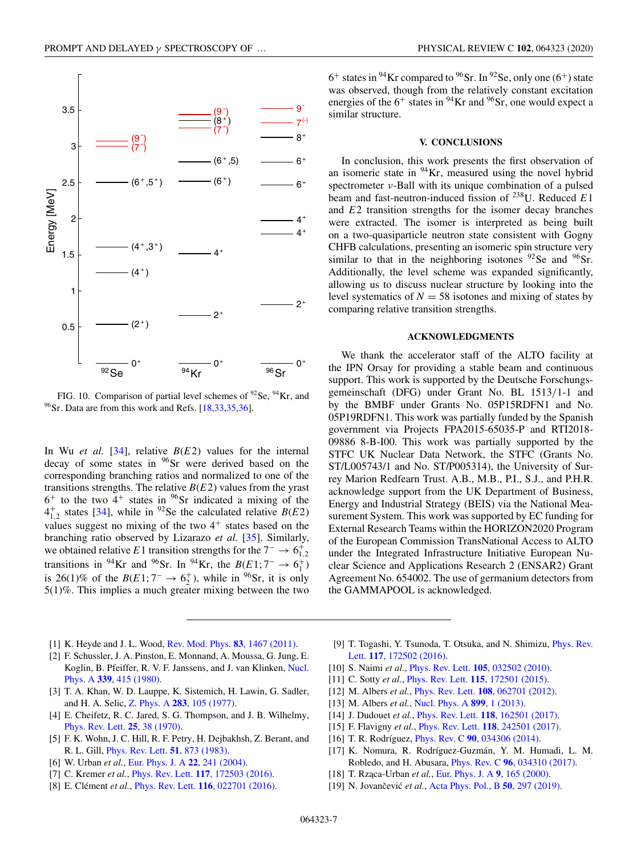<span id="page-6-0"></span>

FIG. 10. Comparison of partial level schemes of  $^{92}$ Se,  $^{94}$ Kr, and  $^{96}$ Sr. Data are from this work and Refs. [18[,33,35,36\]](#page-7-0).

In Wu *et al.* [\[34\]](#page-7-0), relative *B*(*E*2) values for the internal decay of some states in  $96$ Sr were derived based on the corresponding branching ratios and normalized to one of the transitions strengths. The relative  $B(E2)$  values from the yrast  $6^+$  to the two  $4^+$  states in  $96$ Sr indicated a mixing of the  $4_{1,2}^+$  states [\[34\]](#page-7-0), while in <sup>92</sup>Se the calculated relative *B*(*E*2) values suggest no mixing of the two  $4^+$  states based on the branching ratio observed by Lizarazo *et al.* [\[35\]](#page-7-0). Similarly, we obtained relative *E*1 transition strengths for the  $7^- \rightarrow 6^+_{1,2}$ transitions in <sup>94</sup>Kr and <sup>96</sup>Sr. In <sup>94</sup>Kr, the *B*(*E*1; 7<sup>-</sup> → 6<sup>+</sup><sub>1</sub>) is 26(1)% of the *B*(*E*1; 7<sup>-</sup> → 6<sup>+</sup><sub>2</sub>), while in <sup>96</sup>Sr, it is only 5(1)%. This implies a much greater mixing between the two

- [1] K. Heyde and J. L. Wood, [Rev. Mod. Phys.](https://doi.org/10.1103/RevModPhys.83.1467) **83**, 1467 (2011).
- [2] F. Schussler, J. A. Pinston, E. Monnand, A. Moussa, G. Jung, E. [Koglin, B. Pfeiffer, R. V. F. Janssens, and J. van Klinken,](https://doi.org/10.1016/0375-9474(80)90024-X) Nucl. Phys. A **339**, 415 (1980).
- [3] T. A. Khan, W. D. Lauppe, K. Sistemich, H. Lawin, G. Sadler, and H. A. Selic, Z. Phys. A **283**[, 105 \(1977\).](https://doi.org/10.1007/BF01434071)
- [4] E. Cheifetz, R. C. Jared, S. G. Thompson, and J. B. Wilhelmy, [Phys. Rev. Lett.](https://doi.org/10.1103/PhysRevLett.25.38) **25**, 38 (1970).
- [5] F. K. Wohn, J. C. Hill, R. F. Petry, H. Dejbakhsh, Z. Berant, and R. L. Gill, [Phys. Rev. Lett.](https://doi.org/10.1103/PhysRevLett.51.873) **51**, 873 (1983).
- [6] W. Urban *et al.*, [Eur. Phys. J. A](https://doi.org/10.1140/epja/i2004-10037-5) **22**, 241 (2004).
- [7] C. Kremer *et al.*, Phys. Rev. Lett. **117**[, 172503 \(2016\).](https://doi.org/10.1103/PhysRevLett.117.172503)
- [8] E. Clément *et al.*, Phys. Rev. Lett. **116**[, 022701 \(2016\).](https://doi.org/10.1103/PhysRevLett.116.022701)

 $6^+$  states in <sup>94</sup>Kr compared to <sup>96</sup>Sr. In <sup>92</sup>Se, only one (6<sup>+</sup>) state was observed, though from the relatively constant excitation energies of the  $6^+$  states in <sup>94</sup>Kr and <sup>96</sup>Sr, one would expect a similar structure.

#### **V. CONCLUSIONS**

In conclusion, this work presents the first observation of an isomeric state in 94Kr, measured using the novel hybrid spectrometer ν-Ball with its unique combination of a pulsed beam and fast-neutron-induced fission of 238U. Reduced *E*1 and *E*2 transition strengths for the isomer decay branches were extracted. The isomer is interpreted as being built on a two-quasiparticle neutron state consistent with Gogny CHFB calculations, presenting an isomeric spin structure very similar to that in the neighboring isotones  $92$ Se and  $96$ Sr. Additionally, the level scheme was expanded significantly, allowing us to discuss nuclear structure by looking into the level systematics of  $N = 58$  isotones and mixing of states by comparing relative transition strengths.

#### **ACKNOWLEDGMENTS**

We thank the accelerator staff of the ALTO facility at the IPN Orsay for providing a stable beam and continuous support. This work is supported by the Deutsche Forschungsgemeinschaft (DFG) under Grant No. BL 1513/1-1 and by the BMBF under Grants No. 05P15RDFN1 and No. 05P19RDFN1. This work was partially funded by the Spanish government via Projects FPA2015-65035-P and RTI2018- 09886 8-B-I00. This work was partially supported by the STFC UK Nuclear Data Network, the STFC (Grants No. ST/L005743/1 and No. ST/P005314), the University of Surrey Marion Redfearn Trust. A.B., M.B., P.I., S.J., and P.H.R. acknowledge support from the UK Department of Business, Energy and Industrial Strategy (BEIS) via the National Measurement System. This work was supported by EC funding for External Research Teams within the HORIZON2020 Program of the European Commission TransNational Access to ALTO under the Integrated Infrastructure Initiative European Nuclear Science and Applications Research 2 (ENSAR2) Grant Agreement No. 654002. The use of germanium detectors from the GAMMAPOOL is acknowledged.

- [9] [T. Togashi, Y. Tsunoda, T. Otsuka, and N. Shimizu,](https://doi.org/10.1103/PhysRevLett.117.172502) Phys. Rev. Lett. **117**, 172502 (2016).
- [10] S. Naimi *et al.*, Phys. Rev. Lett. **105**[, 032502 \(2010\).](https://doi.org/10.1103/PhysRevLett.105.032502)
- [11] C. Sotty *et al.*, Phys. Rev. Lett. **115**[, 172501 \(2015\).](https://doi.org/10.1103/PhysRevLett.115.172501)
- [12] M. Albers *et al.*, Phys. Rev. Lett. **108**[, 062701 \(2012\).](https://doi.org/10.1103/PhysRevLett.108.062701)
- [13] M. Albers *et al.*, [Nucl. Phys. A](https://doi.org/10.1016/j.nuclphysa.2013.01.013) **899**, 1 (2013).
- [14] J. Dudouet *et al.*, Phys. Rev. Lett. **118**[, 162501 \(2017\).](https://doi.org/10.1103/PhysRevLett.118.162501)
- [15] F. Flavigny *et al.*, Phys. Rev. Lett. **118**[, 242501 \(2017\).](https://doi.org/10.1103/PhysRevLett.118.242501)
- [16] T. R. Rodríguez, Phys. Rev. C **90**[, 034306 \(2014\).](https://doi.org/10.1103/PhysRevC.90.034306)
- [17] K. Nomura, R. Rodríguez-Guzmán, Y. M. Humadi, L. M. Robledo, and H. Abusara, Phys. Rev. C **96**[, 034310 \(2017\).](https://doi.org/10.1103/PhysRevC.96.034310)
- [18] T. Rząca-Urban *et al.*, [Eur. Phys. J. A](https://doi.org/10.1007/s100500070033) 9, 165 (2000).
- [19] N. Jovančević et al., [Acta Phys. Pol., B](https://doi.org/10.5506/APhysPolB.50.297) **50**, 297 (2019).